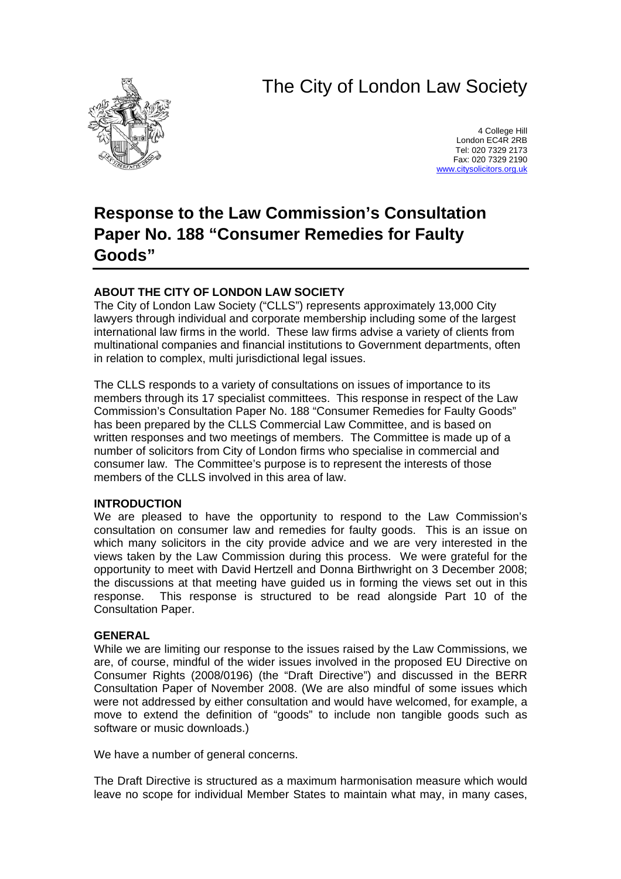# The City of London Law Society



4 College Hill London EC4R 2RB Tel: 020 7329 2173 Fax: 020 7329 2190 [www.citysolicitors.org.uk](http://www.citysolicitors.org.uk/)

## **Response to the Law Commission's Consultation Paper No. 188 "Consumer Remedies for Faulty Goods"**

## **ABOUT THE CITY OF LONDON LAW SOCIETY**

The City of London Law Society ("CLLS") represents approximately 13,000 City lawyers through individual and corporate membership including some of the largest international law firms in the world. These law firms advise a variety of clients from multinational companies and financial institutions to Government departments, often in relation to complex, multi jurisdictional legal issues.

The CLLS responds to a variety of consultations on issues of importance to its members through its 17 specialist committees. This response in respect of the Law Commission's Consultation Paper No. 188 "Consumer Remedies for Faulty Goods" has been prepared by the CLLS Commercial Law Committee, and is based on written responses and two meetings of members. The Committee is made up of a number of solicitors from City of London firms who specialise in commercial and consumer law. The Committee's purpose is to represent the interests of those members of the CLLS involved in this area of law.

#### **INTRODUCTION**

We are pleased to have the opportunity to respond to the Law Commission's consultation on consumer law and remedies for faulty goods. This is an issue on which many solicitors in the city provide advice and we are very interested in the views taken by the Law Commission during this process. We were grateful for the opportunity to meet with David Hertzell and Donna Birthwright on 3 December 2008; the discussions at that meeting have guided us in forming the views set out in this response. This response is structured to be read alongside Part 10 of the Consultation Paper.

#### **GENERAL**

While we are limiting our response to the issues raised by the Law Commissions, we are, of course, mindful of the wider issues involved in the proposed EU Directive on Consumer Rights (2008/0196) (the "Draft Directive") and discussed in the BERR Consultation Paper of November 2008. (We are also mindful of some issues which were not addressed by either consultation and would have welcomed, for example, a move to extend the definition of "goods" to include non tangible goods such as software or music downloads.)

We have a number of general concerns.

The Draft Directive is structured as a maximum harmonisation measure which would leave no scope for individual Member States to maintain what may, in many cases,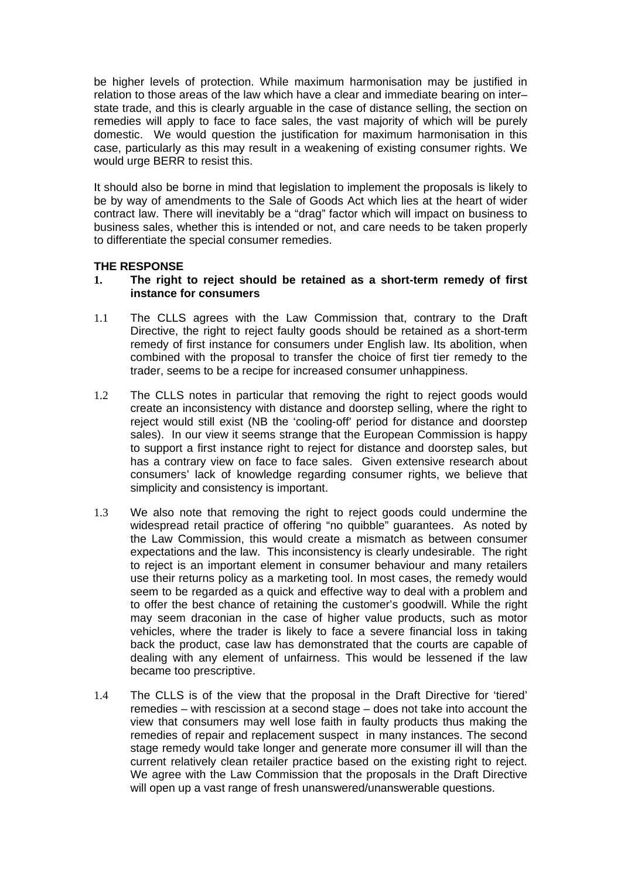be higher levels of protection. While maximum harmonisation may be justified in relation to those areas of the law which have a clear and immediate bearing on inter– state trade, and this is clearly arguable in the case of distance selling, the section on remedies will apply to face to face sales, the vast majority of which will be purely domestic. We would question the justification for maximum harmonisation in this case, particularly as this may result in a weakening of existing consumer rights. We would urge BERR to resist this.

It should also be borne in mind that legislation to implement the proposals is likely to be by way of amendments to the Sale of Goods Act which lies at the heart of wider contract law. There will inevitably be a "drag" factor which will impact on business to business sales, whether this is intended or not, and care needs to be taken properly to differentiate the special consumer remedies.

## **THE RESPONSE**

#### **1. The right to reject should be retained as a short-term remedy of first instance for consumers**

- 1.1 The CLLS agrees with the Law Commission that, contrary to the Draft Directive, the right to reject faulty goods should be retained as a short-term remedy of first instance for consumers under English law. Its abolition, when combined with the proposal to transfer the choice of first tier remedy to the trader, seems to be a recipe for increased consumer unhappiness.
- 1.2 The CLLS notes in particular that removing the right to reject goods would create an inconsistency with distance and doorstep selling, where the right to reject would still exist (NB the 'cooling-off' period for distance and doorstep sales). In our view it seems strange that the European Commission is happy to support a first instance right to reject for distance and doorstep sales, but has a contrary view on face to face sales. Given extensive research about consumers' lack of knowledge regarding consumer rights, we believe that simplicity and consistency is important.
- 1.3 We also note that removing the right to reject goods could undermine the widespread retail practice of offering "no quibble" guarantees. As noted by the Law Commission, this would create a mismatch as between consumer expectations and the law. This inconsistency is clearly undesirable. The right to reject is an important element in consumer behaviour and many retailers use their returns policy as a marketing tool. In most cases, the remedy would seem to be regarded as a quick and effective way to deal with a problem and to offer the best chance of retaining the customer's goodwill. While the right may seem draconian in the case of higher value products, such as motor vehicles, where the trader is likely to face a severe financial loss in taking back the product, case law has demonstrated that the courts are capable of dealing with any element of unfairness. This would be lessened if the law became too prescriptive.
- 1.4 The CLLS is of the view that the proposal in the Draft Directive for 'tiered' remedies – with rescission at a second stage – does not take into account the view that consumers may well lose faith in faulty products thus making the remedies of repair and replacement suspect in many instances. The second stage remedy would take longer and generate more consumer ill will than the current relatively clean retailer practice based on the existing right to reject. We agree with the Law Commission that the proposals in the Draft Directive will open up a vast range of fresh unanswered/unanswerable questions.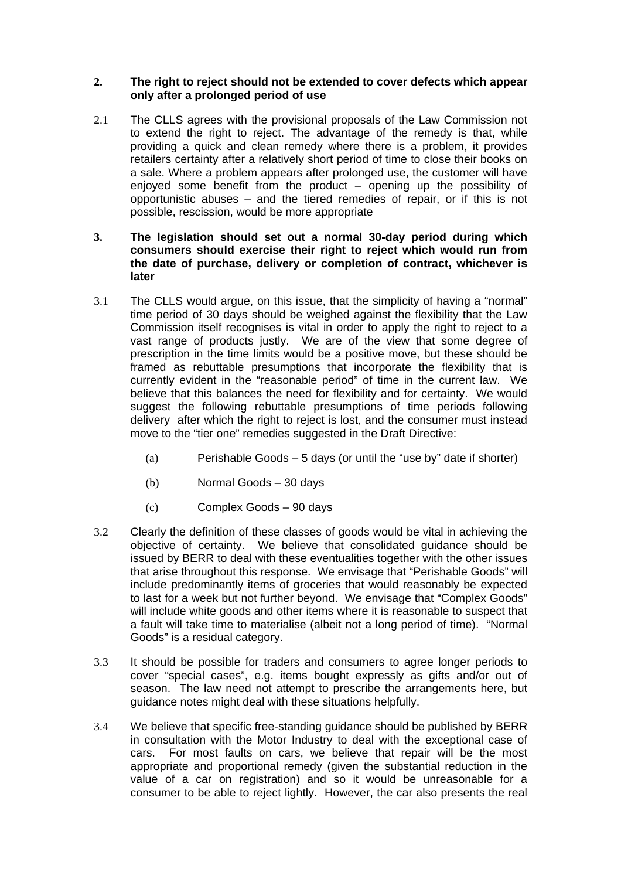#### **2. The right to reject should not be extended to cover defects which appear only after a prolonged period of use**

- 2.1 The CLLS agrees with the provisional proposals of the Law Commission not to extend the right to reject. The advantage of the remedy is that, while providing a quick and clean remedy where there is a problem, it provides retailers certainty after a relatively short period of time to close their books on a sale. Where a problem appears after prolonged use, the customer will have enjoyed some benefit from the product – opening up the possibility of opportunistic abuses – and the tiered remedies of repair, or if this is not possible, rescission, would be more appropriate
- **3. The legislation should set out a normal 30-day period during which consumers should exercise their right to reject which would run from the date of purchase, delivery or completion of contract, whichever is later**
- 3.1 The CLLS would argue, on this issue, that the simplicity of having a "normal" time period of 30 days should be weighed against the flexibility that the Law Commission itself recognises is vital in order to apply the right to reject to a vast range of products justly. We are of the view that some degree of prescription in the time limits would be a positive move, but these should be framed as rebuttable presumptions that incorporate the flexibility that is currently evident in the "reasonable period" of time in the current law. We believe that this balances the need for flexibility and for certainty. We would suggest the following rebuttable presumptions of time periods following delivery after which the right to reject is lost, and the consumer must instead move to the "tier one" remedies suggested in the Draft Directive:
	- (a) Perishable Goods  $-5$  days (or until the "use by" date if shorter)
	- (b) Normal Goods 30 days
	- (c) Complex Goods 90 days
- 3.2 Clearly the definition of these classes of goods would be vital in achieving the objective of certainty. We believe that consolidated guidance should be issued by BERR to deal with these eventualities together with the other issues that arise throughout this response. We envisage that "Perishable Goods" will include predominantly items of groceries that would reasonably be expected to last for a week but not further beyond. We envisage that "Complex Goods" will include white goods and other items where it is reasonable to suspect that a fault will take time to materialise (albeit not a long period of time). "Normal Goods" is a residual category.
- 3.3 It should be possible for traders and consumers to agree longer periods to cover "special cases", e.g. items bought expressly as gifts and/or out of season. The law need not attempt to prescribe the arrangements here, but guidance notes might deal with these situations helpfully.
- 3.4 We believe that specific free-standing guidance should be published by BERR in consultation with the Motor Industry to deal with the exceptional case of cars. For most faults on cars, we believe that repair will be the most appropriate and proportional remedy (given the substantial reduction in the value of a car on registration) and so it would be unreasonable for a consumer to be able to reject lightly. However, the car also presents the real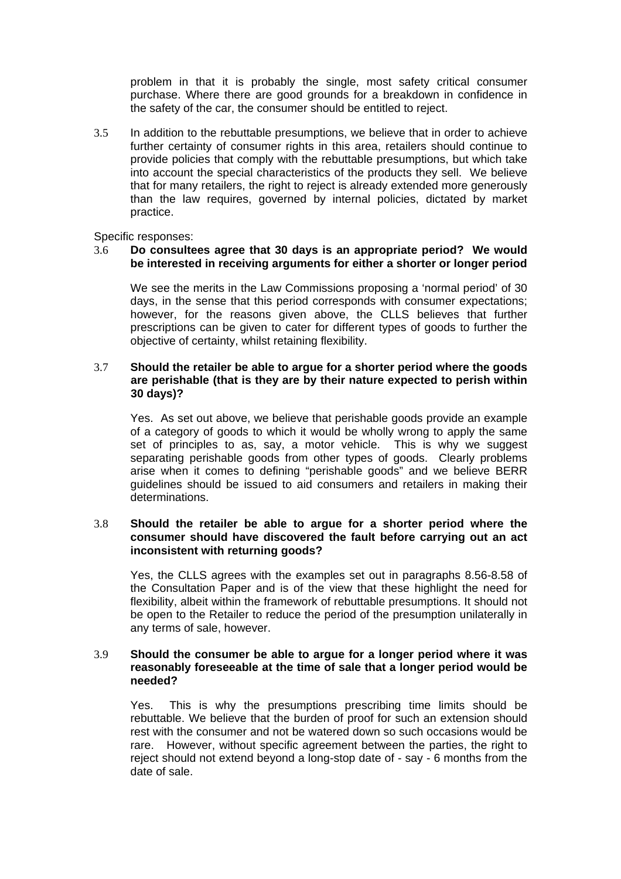problem in that it is probably the single, most safety critical consumer purchase. Where there are good grounds for a breakdown in confidence in the safety of the car, the consumer should be entitled to reject.

3.5 In addition to the rebuttable presumptions, we believe that in order to achieve further certainty of consumer rights in this area, retailers should continue to provide policies that comply with the rebuttable presumptions, but which take into account the special characteristics of the products they sell. We believe that for many retailers, the right to reject is already extended more generously than the law requires, governed by internal policies, dictated by market practice.

Specific responses:

#### 3.6 **Do consultees agree that 30 days is an appropriate period? We would be interested in receiving arguments for either a shorter or longer period**

 We see the merits in the Law Commissions proposing a 'normal period' of 30 days, in the sense that this period corresponds with consumer expectations; however, for the reasons given above, the CLLS believes that further prescriptions can be given to cater for different types of goods to further the objective of certainty, whilst retaining flexibility.

#### 3.7 **Should the retailer be able to argue for a shorter period where the goods are perishable (that is they are by their nature expected to perish within 30 days)?**

 Yes. As set out above, we believe that perishable goods provide an example of a category of goods to which it would be wholly wrong to apply the same set of principles to as, say, a motor vehicle. This is why we suggest separating perishable goods from other types of goods. Clearly problems arise when it comes to defining "perishable goods" and we believe BERR guidelines should be issued to aid consumers and retailers in making their determinations.

#### 3.8 **Should the retailer be able to argue for a shorter period where the consumer should have discovered the fault before carrying out an act inconsistent with returning goods?**

 Yes, the CLLS agrees with the examples set out in paragraphs 8.56-8.58 of the Consultation Paper and is of the view that these highlight the need for flexibility, albeit within the framework of rebuttable presumptions. It should not be open to the Retailer to reduce the period of the presumption unilaterally in any terms of sale, however.

#### 3.9 **Should the consumer be able to argue for a longer period where it was reasonably foreseeable at the time of sale that a longer period would be needed?**

 Yes. This is why the presumptions prescribing time limits should be rebuttable. We believe that the burden of proof for such an extension should rest with the consumer and not be watered down so such occasions would be rare. However, without specific agreement between the parties, the right to reject should not extend beyond a long-stop date of - say - 6 months from the date of sale.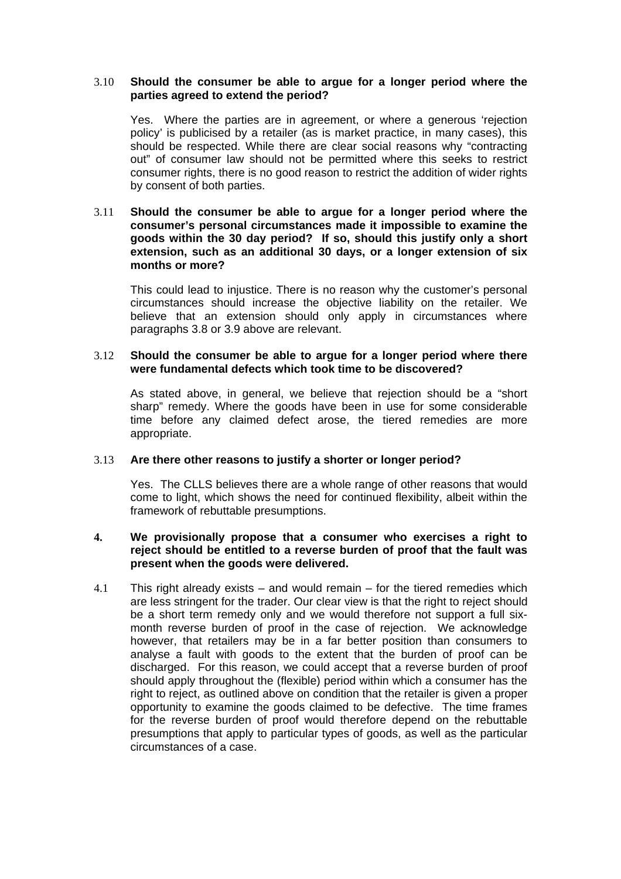#### 3.10 **Should the consumer be able to argue for a longer period where the parties agreed to extend the period?**

 Yes. Where the parties are in agreement, or where a generous 'rejection policy' is publicised by a retailer (as is market practice, in many cases), this should be respected. While there are clear social reasons why "contracting out" of consumer law should not be permitted where this seeks to restrict consumer rights, there is no good reason to restrict the addition of wider rights by consent of both parties.

#### 3.11 **Should the consumer be able to argue for a longer period where the consumer's personal circumstances made it impossible to examine the goods within the 30 day period? If so, should this justify only a short extension, such as an additional 30 days, or a longer extension of six months or more?**

 This could lead to injustice. There is no reason why the customer's personal circumstances should increase the objective liability on the retailer. We believe that an extension should only apply in circumstances where paragraphs 3.8 or 3.9 above are relevant.

#### 3.12 **Should the consumer be able to argue for a longer period where there were fundamental defects which took time to be discovered?**

 As stated above, in general, we believe that rejection should be a "short sharp" remedy. Where the goods have been in use for some considerable time before any claimed defect arose, the tiered remedies are more appropriate.

#### 3.13 **Are there other reasons to justify a shorter or longer period?**

 Yes. The CLLS believes there are a whole range of other reasons that would come to light, which shows the need for continued flexibility, albeit within the framework of rebuttable presumptions.

#### **4. We provisionally propose that a consumer who exercises a right to reject should be entitled to a reverse burden of proof that the fault was present when the goods were delivered.**

4.1 This right already exists – and would remain – for the tiered remedies which are less stringent for the trader. Our clear view is that the right to reject should be a short term remedy only and we would therefore not support a full sixmonth reverse burden of proof in the case of rejection. We acknowledge however, that retailers may be in a far better position than consumers to analyse a fault with goods to the extent that the burden of proof can be discharged. For this reason, we could accept that a reverse burden of proof should apply throughout the (flexible) period within which a consumer has the right to reject, as outlined above on condition that the retailer is given a proper opportunity to examine the goods claimed to be defective. The time frames for the reverse burden of proof would therefore depend on the rebuttable presumptions that apply to particular types of goods, as well as the particular circumstances of a case.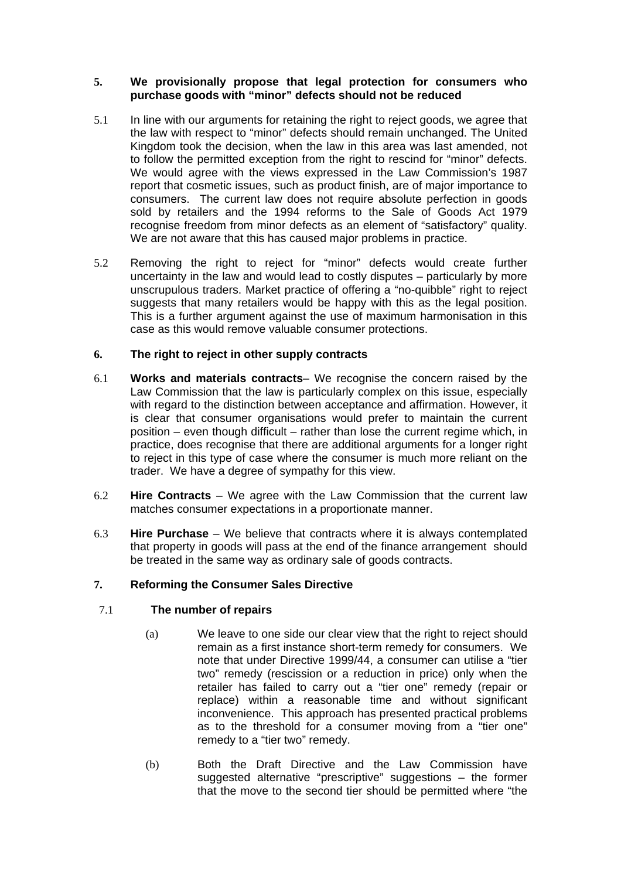#### **5. We provisionally propose that legal protection for consumers who purchase goods with "minor" defects should not be reduced**

- 5.1 In line with our arguments for retaining the right to reject goods, we agree that the law with respect to "minor" defects should remain unchanged. The United Kingdom took the decision, when the law in this area was last amended, not to follow the permitted exception from the right to rescind for "minor" defects. We would agree with the views expressed in the Law Commission's 1987 report that cosmetic issues, such as product finish, are of major importance to consumers. The current law does not require absolute perfection in goods sold by retailers and the 1994 reforms to the Sale of Goods Act 1979 recognise freedom from minor defects as an element of "satisfactory" quality. We are not aware that this has caused major problems in practice.
- 5.2 Removing the right to reject for "minor" defects would create further uncertainty in the law and would lead to costly disputes – particularly by more unscrupulous traders. Market practice of offering a "no-quibble" right to reject suggests that many retailers would be happy with this as the legal position. This is a further argument against the use of maximum harmonisation in this case as this would remove valuable consumer protections.

## **6. The right to reject in other supply contracts**

- 6.1 **Works and materials contracts** We recognise the concern raised by the Law Commission that the law is particularly complex on this issue, especially with regard to the distinction between acceptance and affirmation. However, it is clear that consumer organisations would prefer to maintain the current position – even though difficult – rather than lose the current regime which, in practice, does recognise that there are additional arguments for a longer right to reject in this type of case where the consumer is much more reliant on the trader. We have a degree of sympathy for this view.
- 6.2 **Hire Contracts** We agree with the Law Commission that the current law matches consumer expectations in a proportionate manner.
- 6.3 **Hire Purchase**  We believe that contracts where it is always contemplated that property in goods will pass at the end of the finance arrangement should be treated in the same way as ordinary sale of goods contracts.

## **7. Reforming the Consumer Sales Directive**

## 7.1 **The number of repairs**

- (a) We leave to one side our clear view that the right to reject should remain as a first instance short-term remedy for consumers. We note that under Directive 1999/44, a consumer can utilise a "tier two" remedy (rescission or a reduction in price) only when the retailer has failed to carry out a "tier one" remedy (repair or replace) within a reasonable time and without significant inconvenience. This approach has presented practical problems as to the threshold for a consumer moving from a "tier one" remedy to a "tier two" remedy.
- (b) Both the Draft Directive and the Law Commission have suggested alternative "prescriptive" suggestions – the former that the move to the second tier should be permitted where "the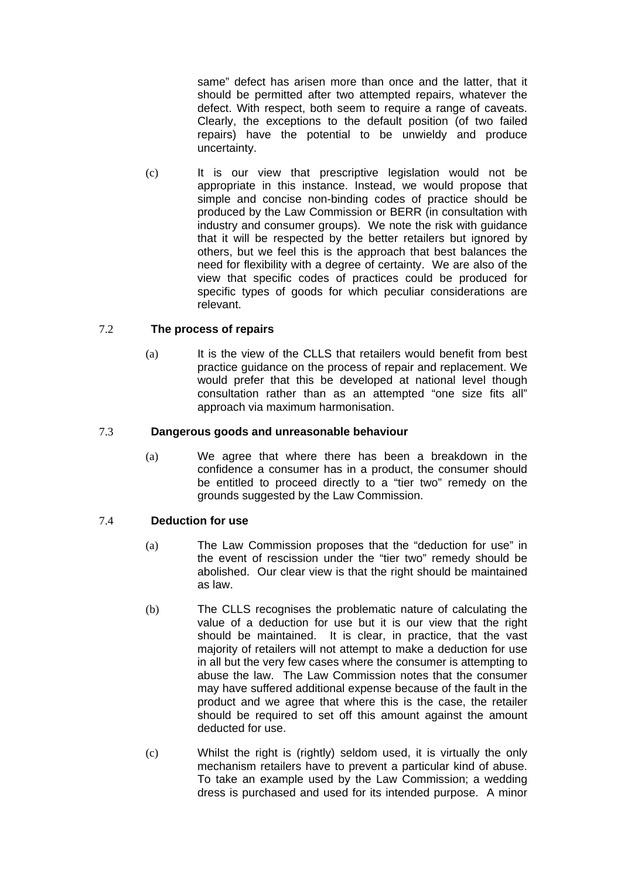same" defect has arisen more than once and the latter, that it should be permitted after two attempted repairs, whatever the defect. With respect, both seem to require a range of caveats. Clearly, the exceptions to the default position (of two failed repairs) have the potential to be unwieldy and produce uncertainty.

(c) It is our view that prescriptive legislation would not be appropriate in this instance. Instead, we would propose that simple and concise non-binding codes of practice should be produced by the Law Commission or BERR (in consultation with industry and consumer groups). We note the risk with guidance that it will be respected by the better retailers but ignored by others, but we feel this is the approach that best balances the need for flexibility with a degree of certainty. We are also of the view that specific codes of practices could be produced for specific types of goods for which peculiar considerations are relevant.

## 7.2 **The process of repairs**

(a) It is the view of the CLLS that retailers would benefit from best practice guidance on the process of repair and replacement. We would prefer that this be developed at national level though consultation rather than as an attempted "one size fits all" approach via maximum harmonisation.

## 7.3 **Dangerous goods and unreasonable behaviour**

(a) We agree that where there has been a breakdown in the confidence a consumer has in a product, the consumer should be entitled to proceed directly to a "tier two" remedy on the grounds suggested by the Law Commission.

## 7.4 **Deduction for use**

- (a) The Law Commission proposes that the "deduction for use" in the event of rescission under the "tier two" remedy should be abolished. Our clear view is that the right should be maintained as law.
- (b) The CLLS recognises the problematic nature of calculating the value of a deduction for use but it is our view that the right should be maintained. It is clear, in practice, that the vast majority of retailers will not attempt to make a deduction for use in all but the very few cases where the consumer is attempting to abuse the law. The Law Commission notes that the consumer may have suffered additional expense because of the fault in the product and we agree that where this is the case, the retailer should be required to set off this amount against the amount deducted for use.
- (c) Whilst the right is (rightly) seldom used, it is virtually the only mechanism retailers have to prevent a particular kind of abuse. To take an example used by the Law Commission; a wedding dress is purchased and used for its intended purpose. A minor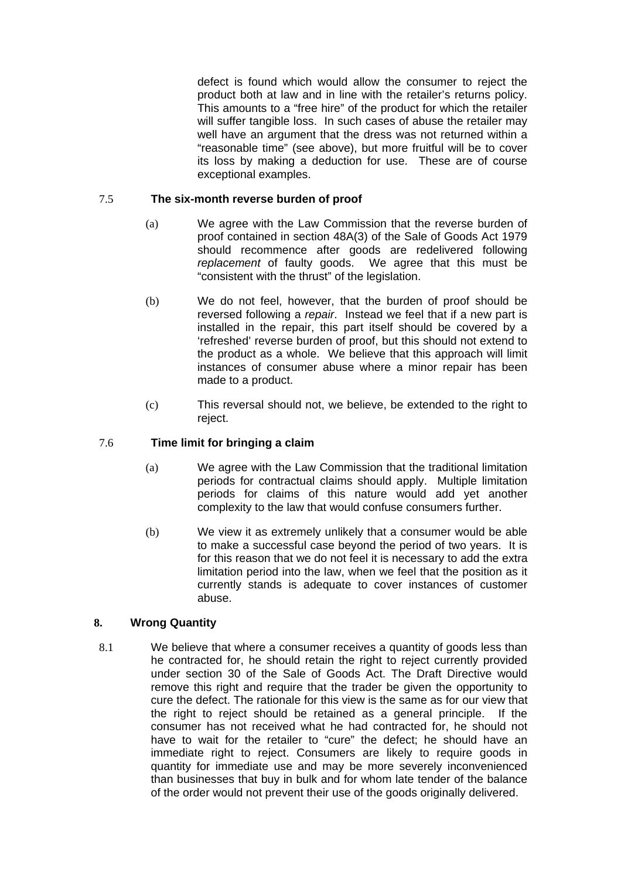defect is found which would allow the consumer to reject the product both at law and in line with the retailer's returns policy. This amounts to a "free hire" of the product for which the retailer will suffer tangible loss. In such cases of abuse the retailer may well have an argument that the dress was not returned within a "reasonable time" (see above), but more fruitful will be to cover its loss by making a deduction for use. These are of course exceptional examples.

## 7.5 **The six-month reverse burden of proof**

- (a) We agree with the Law Commission that the reverse burden of proof contained in section 48A(3) of the Sale of Goods Act 1979 should recommence after goods are redelivered following *replacement* of faulty goods. We agree that this must be "consistent with the thrust" of the legislation.
- (b) We do not feel, however, that the burden of proof should be reversed following a *repair*. Instead we feel that if a new part is installed in the repair, this part itself should be covered by a 'refreshed' reverse burden of proof, but this should not extend to the product as a whole. We believe that this approach will limit instances of consumer abuse where a minor repair has been made to a product.
- (c) This reversal should not, we believe, be extended to the right to reject.

## 7.6 **Time limit for bringing a claim**

- (a) We agree with the Law Commission that the traditional limitation periods for contractual claims should apply. Multiple limitation periods for claims of this nature would add yet another complexity to the law that would confuse consumers further.
- (b) We view it as extremely unlikely that a consumer would be able to make a successful case beyond the period of two years. It is for this reason that we do not feel it is necessary to add the extra limitation period into the law, when we feel that the position as it currently stands is adequate to cover instances of customer abuse.

## **8. Wrong Quantity**

8.1 We believe that where a consumer receives a quantity of goods less than he contracted for, he should retain the right to reject currently provided under section 30 of the Sale of Goods Act. The Draft Directive would remove this right and require that the trader be given the opportunity to cure the defect. The rationale for this view is the same as for our view that the right to reject should be retained as a general principle. If the consumer has not received what he had contracted for, he should not have to wait for the retailer to "cure" the defect; he should have an immediate right to reject. Consumers are likely to require goods in quantity for immediate use and may be more severely inconvenienced than businesses that buy in bulk and for whom late tender of the balance of the order would not prevent their use of the goods originally delivered.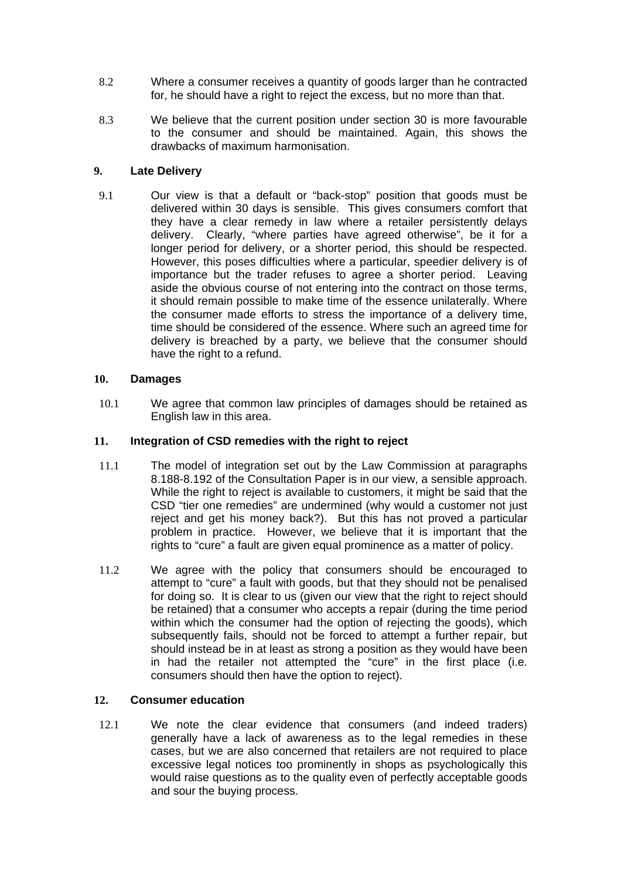- 8.2 Where a consumer receives a quantity of goods larger than he contracted for, he should have a right to reject the excess, but no more than that.
- 8.3 We believe that the current position under section 30 is more favourable to the consumer and should be maintained. Again, this shows the drawbacks of maximum harmonisation.

## **9. Late Delivery**

9.1 Our view is that a default or "back-stop" position that goods must be delivered within 30 days is sensible. This gives consumers comfort that they have a clear remedy in law where a retailer persistently delays delivery. Clearly, "where parties have agreed otherwise", be it for a longer period for delivery, or a shorter period, this should be respected. However, this poses difficulties where a particular, speedier delivery is of importance but the trader refuses to agree a shorter period. Leaving aside the obvious course of not entering into the contract on those terms, it should remain possible to make time of the essence unilaterally. Where the consumer made efforts to stress the importance of a delivery time, time should be considered of the essence. Where such an agreed time for delivery is breached by a party, we believe that the consumer should have the right to a refund.

## **10. Damages**

10.1 We agree that common law principles of damages should be retained as English law in this area.

## **11. Integration of CSD remedies with the right to reject**

- 11.1 The model of integration set out by the Law Commission at paragraphs 8.188-8.192 of the Consultation Paper is in our view, a sensible approach. While the right to reject is available to customers, it might be said that the CSD "tier one remedies" are undermined (why would a customer not just reject and get his money back?). But this has not proved a particular problem in practice. However, we believe that it is important that the rights to "cure" a fault are given equal prominence as a matter of policy.
- 11.2 We agree with the policy that consumers should be encouraged to attempt to "cure" a fault with goods, but that they should not be penalised for doing so. It is clear to us (given our view that the right to reject should be retained) that a consumer who accepts a repair (during the time period within which the consumer had the option of rejecting the goods), which subsequently fails, should not be forced to attempt a further repair, but should instead be in at least as strong a position as they would have been in had the retailer not attempted the "cure" in the first place (i.e. consumers should then have the option to reject).

## **12. Consumer education**

12.1 We note the clear evidence that consumers (and indeed traders) generally have a lack of awareness as to the legal remedies in these cases, but we are also concerned that retailers are not required to place excessive legal notices too prominently in shops as psychologically this would raise questions as to the quality even of perfectly acceptable goods and sour the buying process.